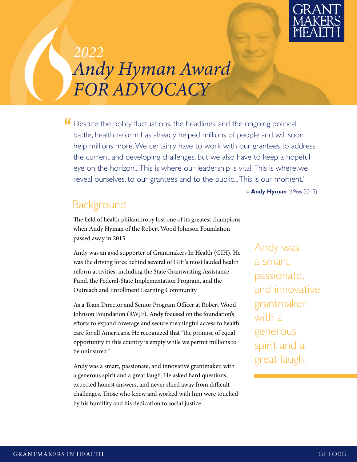

# *2022 Andy Hyman Award FOR ADVOCACY*

If Despite the policy fluctuations, the headlines, and the ongoing political battle, health reform has already helped millions of people and will soon help millions more. We certainly have to work with our grantees to address the current and developing challenges, but we also have to keep a hopeful eye on the horizon... This is where our leadership is vital. This is where we reveal ourselves, to our grantees and to the public... This is our moment."

**– Andy Hyman** (1966-2015)

#### **Background**

The field of health philanthropy lost one of its greatest champions when Andy Hyman of the Robert Wood Johnson Foundation passed away in 2015.

Andy was an avid supporter of Grantmakers In Health (GIH). He was the driving force behind several of GIH's most lauded health reform activities, including the State Grantwriting Assistance Fund, the Federal-State Implementation Program, and the Outreach and Enrollment Learning Community.

As a Team Director and Senior Program Officer at Robert Wood Johnson Foundation (RWJF), Andy focused on the foundation's efforts to expand coverage and secure meaningful access to health care for all Americans. He recognized that "the promise of equal opportunity in this country is empty while we permit millions to be uninsured."

Andy was a smart, passionate, and innovative grantmaker, with a generous spirit and a great laugh. He asked hard questions, expected honest answers, and never shied away from difficult challenges. Those who knew and worked with him were touched by his humility and his dedication to social justice.

Andy was a smart, passionate, and innovative grantmaker, with a generous spirit and a great laugh.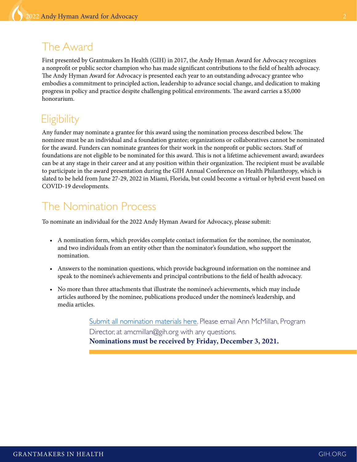#### The Award

First presented by Grantmakers In Health (GIH) in 2017, the Andy Hyman Award for Advocacy recognizes a nonprofit or public sector champion who has made significant contributions to the field of health advocacy. The Andy Hyman Award for Advocacy is presented each year to an outstanding advocacy grantee who embodies a commitment to principled action, leadership to advance social change, and dedication to making progress in policy and practice despite challenging political environments. The award carries a \$5,000 honorarium.

# **Eligibility**

Any funder may nominate a grantee for this award using the nomination process described below. The nominee must be an individual and a foundation grantee; organizations or collaboratives cannot be nominated for the award. Funders can nominate grantees for their work in the nonprofit or public sectors. Staff of foundations are not eligible to be nominated for this award. This is not a lifetime achievement award; awardees can be at any stage in their career and at any position within their organization. The recipient must be available to participate in the award presentation during the GIH Annual Conference on Health Philanthropy, which is slated to be held from June 27-29, 2022 in Miami, Florida, but could become a virtual or hybrid event based on COVID-19 developments.

# The Nomination Process

To nominate an individual for the 2022 Andy Hyman Award for Advocacy, please submit:

- A nomination form, which provides complete contact information for the nominee, the nominator, and two individuals from an entity other than the nominator's foundation, who support the nomination.
- Answers to the nomination questions, which provide background information on the nominee and speak to the nominee's achievements and principal contributions to the field of health advocacy.
- No more than three attachments that illustrate the nominee's achievements, which may include articles authored by the nominee, publications produced under the nominee's leadership, and media articles.

[Submit all nomination materials here.](https://www.surveymonkey.com/r/AndyHymanNomination2022) Please email Ann McMillan, Program Director, at amcmillan@gih.org with any questions. Nominations must be received by Friday, December 3, 2021.